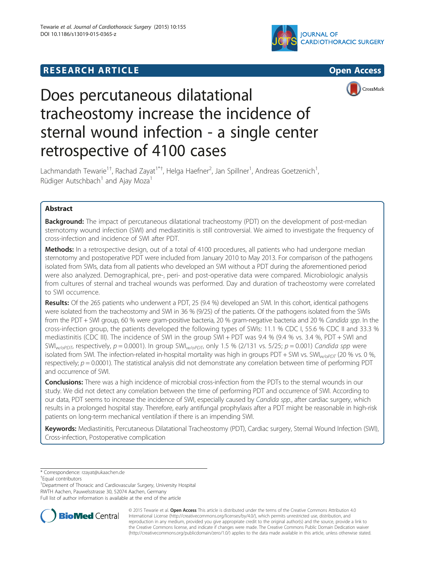## **RESEARCH ARTICLE Example 2018 12:00 THE OPEN ACCESS**







# Does percutaneous dilatational tracheostomy increase the incidence of sternal wound infection - a single center retrospective of 4100 cases

Lachmandath Tewarie<sup>1†</sup>, Rachad Zayat<sup>1\*†</sup>, Helga Haefner<sup>2</sup>, Jan Spillner<sup>1</sup>, Andreas Goetzenich<sup>1</sup> , Rüdiger Autschbach<sup>1</sup> and Ajay Moza<sup>1</sup>

## Abstract

**Background:** The impact of percutaneous dilatational tracheostomy (PDT) on the development of post-median sternotomy wound infection (SWI) and mediastinitis is still controversial. We aimed to investigate the frequency of cross-infection and incidence of SWI after PDT.

Methods: In a retrospective design, out of a total of 4100 procedures, all patients who had undergone median sternotomy and postoperative PDT were included from January 2010 to May 2013. For comparison of the pathogens isolated from SWIs, data from all patients who developed an SWI without a PDT during the aforementioned period were also analyzed. Demographical, pre-, peri- and post-operative data were compared. Microbiologic analysis from cultures of sternal and tracheal wounds was performed. Day and duration of tracheostomy were correlated to SWI occurrence.

Results: Of the 265 patients who underwent a PDT, 25 (9.4 %) developed an SWI. In this cohort, identical pathogens were isolated from the tracheostomy and SWI in 36 % (9/25) of the patients. Of the pathogens isolated from the SWIs from the PDT + SWI group, 60 % were gram-positive bacteria, 20 % gram-negative bacteria and 20 % Candida spp. In the cross-infection group, the patients developed the following types of SWIs: 11.1 % CDC I, 55.6 % CDC II and 33.3 % mediastinitis (CDC III). The incidence of SWI in the group SWI + PDT was 9.4 % (9.4 % vs. 3.4 %, PDT + SWI and  $SWI_{W\text{/op}D\overline{T}}$ , respectively,  $p = 0.0001$ ). In group  $SWI_{W\text{/op}D\overline{T}}$ , only 1.5 % (2/131 vs. 5/25;  $p = 0.001$ ) Candida spp were isolated from SWI. The infection-related in-hospital mortality was high in groups PDT + SWI vs. SWI<sub>W/OPDT</sub> (20 % vs. 0 %, respectively;  $p = 0.0001$ ). The statistical analysis did not demonstrate any correlation between time of performing PDT and occurrence of SWI.

Conclusions: There was a high incidence of microbial cross-infection from the PDTs to the sternal wounds in our study. We did not detect any correlation between the time of performing PDT and occurrence of SWI. According to our data, PDT seems to increase the incidence of SWI, especially caused by Candida spp., after cardiac surgery, which results in a prolonged hospital stay. Therefore, early antifungal prophylaxis after a PDT might be reasonable in high-risk patients on long-term mechanical ventilation if there is an impending SWI.

Keywords: Mediastinitis, Percutaneous Dilatational Tracheostomy (PDT), Cardiac surgery, Sternal Wound Infection (SWI), Cross-infection, Postoperative complication

\* Correspondence: [rzayat@ukaachen.de](mailto:rzayat@ukaachen.de) †

Equal contributors

<sup>1</sup>Department of Thoracic and Cardiovascular Surgery, University Hospital

RWTH Aachen, Pauwelsstrasse 30, 52074 Aachen, Germany

Full list of author information is available at the end of the article



© 2015 Tewarie et al. Open Access This article is distributed under the terms of the Creative Commons Attribution 4.0 International License [\(http://creativecommons.org/licenses/by/4.0/](http://creativecommons.org/licenses/by/4.0/)), which permits unrestricted use, distribution, and reproduction in any medium, provided you give appropriate credit to the original author(s) and the source, provide a link to the Creative Commons license, and indicate if changes were made. The Creative Commons Public Domain Dedication waiver [\(http://creativecommons.org/publicdomain/zero/1.0/](http://creativecommons.org/publicdomain/zero/1.0/)) applies to the data made available in this article, unless otherwise stated.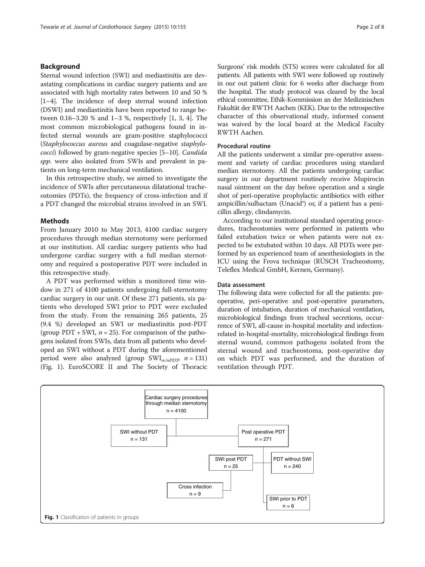## Background

Sternal wound infection (SWI) and mediastinitis are devastating complications in cardiac surgery patients and are associated with high mortality rates between 10 and 50 % [[1](#page-7-0)–[4](#page-7-0)]. The incidence of deep sternal wound infection (DSWI) and mediastinitis have been reported to range between 0.16–3.20 % and 1–3 %, respectively [\[1, 3](#page-7-0), [4\]](#page-7-0). The most common microbiological pathogens found in infected sternal wounds are gram-positive staphylococci (Staphylococcus aureus and coagulase-negative staphylococci) followed by gram-negative species [\[5](#page-7-0)–[10\]](#page-7-0). Candida spp. were also isolated from SWIs and prevalent in patients on long-term mechanical ventilation.

In this retrospective study, we aimed to investigate the incidence of SWIs after percutaneous dilatational tracheostomies (PDTs), the frequency of cross-infection and if a PDT changed the microbial strains involved in an SWI.

### Methods

From January 2010 to May 2013, 4100 cardiac surgery procedures through median sternotomy were performed at our institution. All cardiac surgery patients who had undergone cardiac surgery with a full median sternotomy and required a postoperative PDT were included in this retrospective study.

A PDT was performed within a monitored time window in 271 of 4100 patients undergoing full-sternotomy cardiac surgery in our unit. Of these 271 patients, six patients who developed SWI prior to PDT were excluded from the study. From the remaining 265 patients, 25 (9.4 %) developed an SWI or mediastinitis post-PDT (group PDT + SWI,  $n = 25$ ). For comparison of the pathogens isolated from SWIs, data from all patients who developed an SWI without a PDT during the aforementioned period were also analyzed (group  $\text{SWI}_{w \mid \text{opD} \overline{\text{D}}}$   $n = 131$ ) (Fig. 1). EuroSCORE II and The Society of Thoracic Surgeons' risk models (STS) scores were calculated for all patients. All patients with SWI were followed up routinely in our out patient clinic for 6 weeks after discharge from the hospital. The study protocol was cleared by the local ethical committee, Ethik-Kommission an der Medizinischen Fakultät der RWTH Aachen (KEK). Due to the retrospective character of this observational study, informed consent was waived by the local board at the Medical Faculty RWTH Aachen.

## Procedural routine

All the patients underwent a similar pre-operative assessment and variety of cardiac procedures using standard median sternotomy. All the patients undergoing cardiac surgery in our department routinely receive Mupirocin nasal ointment on the day before operation and a single shot of peri-operative prophylactic antibiotics with either ampicillin/sulbactam (Unacid®) or, if a patient has a penicillin allergy, clindamycin.

According to our institutional standard operating procedures, tracheostomies were performed in patients who failed extubation twice or when patients were not expected to be extubated within 10 days. All PDTs were performed by an experienced team of anesthesiologists in the ICU using the Frova technique (RÜSCH Tracheostomy, Teleflex Medical GmbH, Kernen, Germany).

## Data assessment

The following data were collected for all the patients: preoperative, peri-operative and post-operative parameters, duration of intubation, duration of mechanical ventilation, microbiological findings from tracheal secretions, occurrence of SWI, all-cause in-hospital mortality and infectionrelated in-hospital-mortality, microbiological findings from sternal wound, common pathogens isolated from the sternal wound and tracheostoma, post-operative day on which PDT was performed, and the duration of ventilation through PDT.

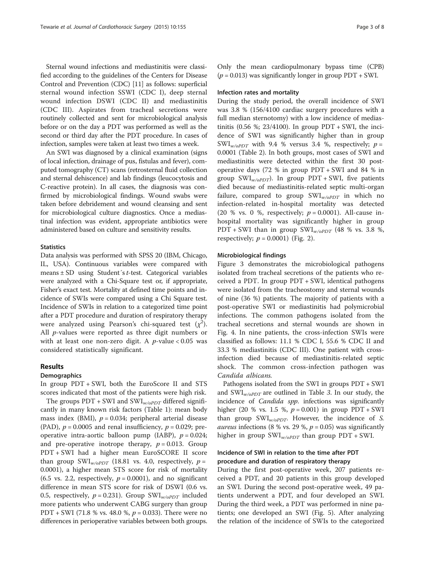Sternal wound infections and mediastinitis were classified according to the guidelines of the Centers for Disease Control and Prevention (CDC) [[11](#page-7-0)] as follows: superficial sternal wound infection SSWI (CDC I), deep sternal wound infection DSWI (CDC II) and mediastinitis (CDC III). Aspirates from tracheal secretions were routinely collected and sent for microbiological analysis before or on the day a PDT was performed as well as the second or third day after the PDT procedure. In cases of infection, samples were taken at least two times a week.

An SWI was diagnosed by a clinical examination (signs of local infection, drainage of pus, fistulas and fever), computed tomography (CT) scans (retrosternal fluid collection and sternal dehiscence) and lab findings (leucocytosis and C-reactive protein). In all cases, the diagnosis was confirmed by microbiological findings. Wound swabs were taken before debridement and wound cleansing and sent for microbiological culture diagnostics. Once a mediastinal infection was evident, appropriate antibiotics were administered based on culture and sensitivity results.

#### **Statistics**

Data analysis was performed with SPSS 20 (IBM, Chicago, IL, USA). Continuous variables were compared with means ± SD using Student´s t-test. Categorical variables were analyzed with a Chi-Square test or, if appropriate, Fisher's exact test. Mortality at defined time points and incidence of SWIs were compared using a Chi Square test. Incidence of SWIs in relation to a categorized time point after a PDT procedure and duration of respiratory therapy were analyzed using Pearson's chi-squared test  $(\chi^2)$ . All p-values were reported as three digit numbers or with at least one non-zero digit. A  $p$ -value < 0.05 was considered statistically significant.

## Results

#### **Demographics**

In group PDT + SWI, both the EuroScore II and STS scores indicated that most of the patients were high risk.

The groups  $PDT + SWI$  and  $SWI_{w/o PDT}$  differed significantly in many known risk factors (Table [1](#page-3-0)): mean body mass index (BMI),  $p = 0.034$ ; peripheral arterial disease (PAD),  $p = 0.0005$  and renal insufficiency,  $p = 0.029$ ; preoperative intra-aortic balloon pump (IABP),  $p = 0.024$ ; and pre-operative inotrope therapy,  $p = 0.013$ . Group PDT + SWI had a higher mean EuroSCORE II score than group SWI<sub>*w*/oPDT</sub> (18.81 vs. 4.0, respectively,  $p =$ 0.0001), a higher mean STS score for risk of mortality (6.5 vs. 2.2, respectively,  $p = 0.0001$ ), and no significant difference in mean STS score for risk of DSWI (0.6 vs. 0.5, respectively,  $p = 0.231$ ). Group SWI<sub>*w/oPDT*</sub> included more patients who underwent CABG surgery than group PDT + SWI (71.8 % vs. 48.0 %,  $p = 0.033$ ). There were no differences in perioperative variables between both groups.

Only the mean cardiopulmonary bypass time (CPB)  $(p = 0.013)$  was significantly longer in group PDT + SWI.

## Infection rates and mortality

During the study period, the overall incidence of SWI was 3.8 % (156/4100 cardiac surgery procedures with a full median sternotomy) with a low incidence of mediastinitis  $(0.56 \text{ %}; 23/4100)$ . In group PDT + SWI, the incidence of SWI was significantly higher than in group SWI<sub>W/OPDT</sub> with 9.4 % versus 3.4 %, respectively;  $p =$ 0.0001 (Table [2](#page-4-0)). In both groups, most cases of SWI and mediastinitis were detected within the first 30 postoperative days (72 % in group PDT + SWI and 84 % in group SWI<sub>w/oPDT</sub>). In group PDT + SWI, five patients died because of mediastinitis-related septic multi-organ failure, compared to group  $SWI_{w/o PDT}$  in which no infection-related in-hospital mortality was detected (20 % vs. 0 %, respectively;  $p = 0.0001$ ). All-cause inhospital mortality was significantly higher in group PDT + SWI than in group  $SWI_{w/oPDT}$  (48 % vs. 3.8 %, respectively;  $p = 0.0001$ ) (Fig. [2\)](#page-4-0).

#### Microbiological findings

Figure [3](#page-5-0) demonstrates the microbiological pathogens isolated from tracheal secretions of the patients who received a PDT. In group PDT + SWI, identical pathogens were isolated from the tracheostomy and sternal wounds of nine (36 %) patients. The majority of patients with a post-operative SWI or mediastinitis had polymicrobial infections. The common pathogens isolated from the tracheal secretions and sternal wounds are shown in Fig. [4.](#page-5-0) In nine patients, the cross-infection SWIs were classified as follows: 11.1 % CDC I, 55.6 % CDC II and 33.3 % mediastinitis (CDC III). One patient with crossinfection died because of mediastinitis-related septic shock. The common cross-infection pathogen was Candida albicans.

Pathogens isolated from the SWI in groups PDT + SWI and  $SWI_{w/o PDT}$  are outlined in Table [3](#page-5-0). In our study, the incidence of *Candida spp*. infections was significantly higher (20 % vs. 1.5 %,  $p = 0.001$ ) in group PDT + SWI than group  $SWI_{w/oppT}$ . However, the incidence of S. *aureus* infections (8 % vs. 29 %,  $p = 0.05$ ) was significantly higher in group  $SWI_{w/o PDT}$  than group PDT + SWI.

## Incidence of SWI in relation to the time after PDT procedure and duration of respiratory therapy

During the first post-operative week, 207 patients received a PDT, and 20 patients in this group developed an SWI. During the second post-operative week, 49 patients underwent a PDT, and four developed an SWI. During the third week, a PDT was performed in nine patients; one developed an SWI (Fig. [5\)](#page-6-0). After analyzing the relation of the incidence of SWIs to the categorized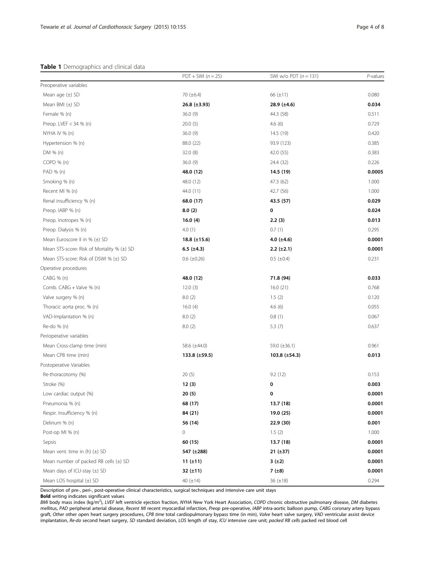## <span id="page-3-0"></span>Table 1 Demographics and clinical data

|                                            | $PDT + SWI (n = 25)$ | SWI w/o PDT $(n = 131)$ | $P$ -values |
|--------------------------------------------|----------------------|-------------------------|-------------|
| Preoperative variables                     |                      |                         |             |
| Mean age $(\pm)$ SD                        | 70 $(\pm 6.4)$       | 66 $(\pm 11)$           | 0.080       |
| Mean BMI $(\pm)$ SD                        | 26.8 $(\pm 3.93)$    | 28.9 $(\pm 4.6)$        | 0.034       |
| Female % (n)                               | 36.0(9)              | 44.3 (58)               | 0.511       |
| Preop. LVEF < 34 % (n)                     | 20.0(5)              | 4.6(6)                  | 0.729       |
| NYHA IV $%$ (n)                            | 36.0(9)              | 14.5 (19)               | 0.420       |
| Hypertension % (n)                         | 88.0 (22)            | 93.9 (123)              | 0.385       |
| DM % (n)                                   | 32.0 (8)             | 42.0 (55)               | 0.383       |
| COPD % (n)                                 | 36.0(9)              | 24.4 (32)               | 0.226       |
| PAD % (n)                                  | 48.0 (12)            | 14.5 (19)               | 0.0005      |
| Smoking % (n)                              | 48.0 (12)            | 47.3 (62)               | 1.000       |
| Recent MI % (n)                            | 44.0 (11)            | 42.7 (56)               | 1.000       |
| Renal insufficiency % (n)                  | 68.0 (17)            | 43.5 (57)               | 0.029       |
| Preop. IABP % (n)                          | 8.0(2)               | 0                       | 0.024       |
| Preop. Inotropes % (n)                     | 16.0(4)              | 2.2(3)                  | 0.013       |
| Preop. Dialysis % (n)                      | 4.0(1)               | 0.7(1)                  | 0.295       |
| Mean Euroscore II in $% (\pm)$ SD          | 18.8 $(\pm 15.6)$    | 4.0 $(\pm 4.6)$         | 0.0001      |
| Mean STS-score: Risk of Mortality % (±) SD | 6.5 $(\pm 4.3)$      | $2.2 (\pm 2.1)$         | 0.0001      |
| Mean STS-score: Risk of DSWI % (±) SD      | $0.6$ ( $\pm 0.26$ ) | $0.5$ ( $\pm 0.4$ )     | 0.231       |
| Operative procedures                       |                      |                         |             |
| $CABG$ % (n)                               | 48.0 (12)            | 71.8 (94)               | 0.033       |
| Comb. CABG + Valve % (n)                   | 12.0(3)              | 16.0(21)                | 0.768       |
| Valve surgery % (n)                        | 8.0(2)               | 1.5(2)                  | 0.120       |
| Thoracic aorta proc. % (n)                 | 16.0(4)              | 4.6(6)                  | 0.055       |
| VAD-Implantation % (n)                     | 8.0(2)               | 0.8(1)                  | 0.067       |
| Re-do % (n)                                | 8.0(2)               | 5.3(7)                  | 0.637       |
| Perioperative variables                    |                      |                         |             |
| Mean Cross-clamp time (min)                | 58.6 (±44.0)         | 59.0 $(\pm 36.1)$       | 0.961       |
| Mean CPB time (min)                        | $133.8 \ (\pm 59.5)$ | 103.8 $(\pm 54.3)$      | 0.013       |
| Postoperative Variables                    |                      |                         |             |
| Re-thoracotomy (%)                         | 20(5)                | 9.2(12)                 | 0.153       |
| Stroke (%)                                 | 12(3)                | 0                       | 0.003       |
| Low cardiac output (%)                     | 20 (5)               | 0                       | 0.0001      |
| Pneumonia % (n)                            | 68 (17)              | 13.7 (18)               | 0.0001      |
| Respir. Insufficiency % (n)                | 84 (21)              | 19.0 (25)               | 0.0001      |
| Delirium % (n)                             | 56 (14)              | 22.9 (30)               | 0.001       |
| Post-op MI % (n)                           | 0                    | 1.5(2)                  | 1.000       |
| Sepsis                                     | 60 (15)              | 13.7(18)                | 0.0001      |
| Mean vent. time in (h) $(\pm)$ SD          | 547 (±288)           | $21 (\pm 37)$           | 0.0001      |
| Mean number of packed RB cells $(\pm)$ SD  | 11 $(\pm 11)$        | 3(±2)                   | 0.0001      |
| Mean days of ICU-stay (±) SD               | 32 $(\pm 11)$        | 7 $(\pm 8)$             | 0.0001      |
| Mean LOS hospital $(\pm)$ SD               | 40 $(\pm 14)$        | 36 $(\pm 18)$           | 0.294       |

Description of pre-, peri-, post-operative clinical characteristics, surgical techniques and intensive care unit stays

Bold writing indicates significant values

BMI body mass index (kg/m<sup>2</sup>), LVEF left ventricle ejection fraction, NYHA New York Heart Association, COPD chronic obstructive pulmonary disease, DM diabetes mellitus, PAD peripheral arterial disease, Recent MI recent myocardial infarction, Preop pre-operative, IABP intra-aortic balloon pump, CABG coronary artery bypass graft, Other other open heart surgery procedures, CPB time total cardiopulmonary bypass time (in min), Valve heart valve surgery, VAD ventricular assist device implantation, Re-do second heart surgery, SD standard deviation, LOS length of stay, ICU intensive care unit; packed RB cells packed red blood cell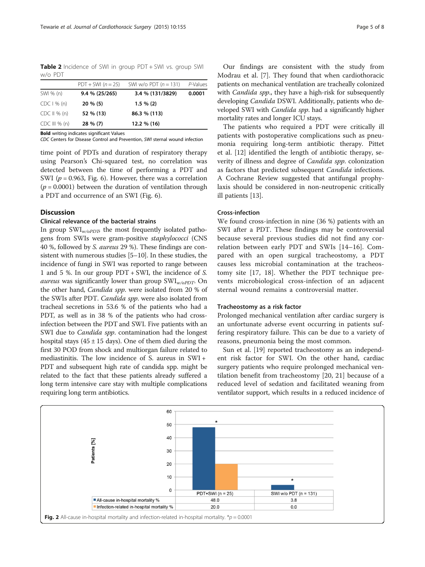<span id="page-4-0"></span>Table 2 Incidence of SWI in group PDT + SWI vs. group SWI w/o PDT

|                  | $PDT + SWI (n = 25)$ | SWI w/o PDT $(n = 131)$ | P-Values |
|------------------|----------------------|-------------------------|----------|
| SWI % (n)        | 9.4 % (25/265)       | 3.4 % (131/3829)        | 0.0001   |
| CDC 1 % (n)      | $20 \% (5)$          | $1.5 \% (2)$            |          |
| $CDC II \% (n)$  | 52 % (13)            | 86.3 % (113)            |          |
| $CDC III \% (n)$ | 28 % (7)             | 12.2 % (16)             |          |

Bold writing indicates significant Values

CDC Centers for Disease Control and Prevention, SWI sternal wound infection

time point of PDTs and duration of respiratory therapy using Pearson's Chi-squared test, no correlation was detected between the time of performing a PDT and SWI ( $p = 0.963$ , Fig. [6\)](#page-6-0). However, there was a correlation  $(p = 0.0001)$  between the duration of ventilation through a PDT and occurrence of an SWI (Fig. [6\)](#page-6-0).

## Discussion

## Clinical relevance of the bacterial strains

In group  $\text{SWI}_{\psi\alpha P\Box\overline{\partial}}$  the most frequently isolated pathogens from SWIs were gram-positive staphylococci (CNS 40 %, followed by S. aureus 29 %). These findings are consistent with numerous studies [\[5](#page-7-0)–[10\]](#page-7-0). In these studies, the incidence of fungi in SWI was reported to range between 1 and 5 %. In our group PDT + SWI, the incidence of S. *aureus* was significantly lower than group  $SWI_{w/o PDT}$ . On the other hand, Candida spp. were isolated from 20 % of the SWIs after PDT. Candida spp. were also isolated from tracheal secretions in 53.6 % of the patients who had a PDT, as well as in 38 % of the patients who had crossinfection between the PDT and SWI. Five patients with an SWI due to *Candida spp*. contamination had the longest hospital stays ( $45 \pm 15$  days). One of them died during the first 30 POD from shock and multiorgan failure related to mediastinitis. The low incidence of S. aureus in SWI + PDT and subsequent high rate of candida spp. might be related to the fact that these patients already suffered a long term intensive care stay with multiple complications requiring long term antibiotics.

Our findings are consistent with the study from Modrau et al. [[7\]](#page-7-0). They found that when cardiothoracic patients on mechanical ventilation are tracheally colonized with *Candida spp.*, they have a high-risk for subsequently developing Candida DSWI. Additionally, patients who developed SWI with *Candida spp*. had a significantly higher mortality rates and longer ICU stays.

The patients who required a PDT were critically ill patients with postoperative complications such as pneumonia requiring long-term antibiotic therapy. Pittet et al. [[12\]](#page-7-0) identified the length of antibiotic therapy, severity of illness and degree of Candida spp. colonization as factors that predicted subsequent Candida infections. A Cochrane Review suggested that antifungal prophylaxis should be considered in non-neutropenic critically ill patients [[13](#page-7-0)].

## Cross-infection

We found cross-infection in nine (36 %) patients with an SWI after a PDT. These findings may be controversial because several previous studies did not find any correlation between early PDT and SWIs [[14](#page-7-0)–[16\]](#page-7-0). Compared with an open surgical tracheostomy, a PDT causes less microbial contamination at the tracheostomy site [\[17](#page-7-0), [18\]](#page-7-0). Whether the PDT technique prevents microbiological cross-infection of an adjacent sternal wound remains a controversial matter.

## Tracheostomy as a risk factor

Prolonged mechanical ventilation after cardiac surgery is an unfortunate adverse event occurring in patients suffering respiratory failure. This can be due to a variety of reasons, pneumonia being the most common.

Sun et al. [[19\]](#page-7-0) reported tracheostomy as an independent risk factor for SWI. On the other hand, cardiac surgery patients who require prolonged mechanical ventilation benefit from tracheostomy [[20, 21](#page-7-0)] because of a reduced level of sedation and facilitated weaning from ventilator support, which results in a reduced incidence of

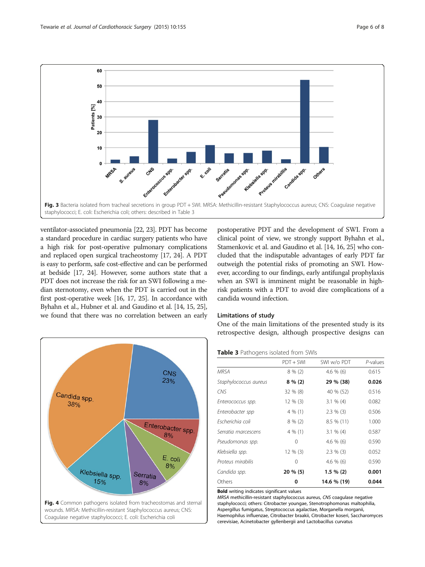<span id="page-5-0"></span>

ventilator-associated pneumonia [\[22](#page-7-0), [23](#page-7-0)]. PDT has become a standard procedure in cardiac surgery patients who have a high risk for post-operative pulmonary complications and replaced open surgical tracheostomy [\[17, 24\]](#page-7-0). A PDT is easy to perform, safe cost-effective and can be performed at bedside [\[17](#page-7-0), [24\]](#page-7-0). However, some authors state that a PDT does not increase the risk for an SWI following a median sternotomy, even when the PDT is carried out in the first post-operative week [\[16](#page-7-0), [17, 25](#page-7-0)]. In accordance with Byhahn et al., Hubner et al. and Gaudino et al. [\[14, 15, 25](#page-7-0)], we found that there was no correlation between an early



postoperative PDT and the development of SWI. From a clinical point of view, we strongly support Byhahn et al., Stamenkovic et al. and Gaudino et al. [\[14](#page-7-0), [16](#page-7-0), [25](#page-7-0)] who concluded that the indisputable advantages of early PDT far outweigh the potential risks of promoting an SWI. However, according to our findings, early antifungal prophylaxis when an SWI is imminent might be reasonable in highrisk patients with a PDT to avoid dire complications of a candida wound infection.

#### Limitations of study

One of the main limitations of the presented study is its retrospective design, although prospective designs can

## Table 3 Pathogens isolated from SWIs

|                       | $PDT + SWI$ | SWI w/o PDT  | P-values |
|-----------------------|-------------|--------------|----------|
| <b>MRSA</b>           | $8\%$ (2)   | $4.6\%$ (6)  | 0.615    |
| Staphylococcus aureus | $8\%(2)$    | 29 % (38)    | 0.026    |
| <b>CNS</b>            | $32\%$ (8)  | 40 % (52)    | 0.516    |
| Enterococcus spp.     | $12\%$ (3)  | $3.1 \% (4)$ | 0.082    |
| Enterobacter spp      | 4 % (1)     | $2.3 \%$ (3) | 0.506    |
| Escherichia coli      | $8\%$ (2)   | $8.5\%$ (11) | 1.000    |
| Serratia marcescens   | 4 % (1)     | $3.1 \% (4)$ | 0.587    |
| Pseudomonas spp.      | 0           | $4.6\%$ (6)  | 0.590    |
| Klebsiella spp.       | $12\%$ (3)  | $2.3 \%$ (3) | 0.052    |
| Proteus mirabilis     | 0           | $4.6\%$ (6)  | 0.590    |
| Candida spp.          | 20 % (5)    | $1.5 \% (2)$ | 0.001    |
| Others                | 0           | 14.6 % (19)  | 0.044    |

Bold writing indicates significant values

MRSA methicillin-resistant staphylococcus aureus, CNS coagulase negative staphylococci; others: Citrobacter youngae, Stenotrophomonas maltophilia, Aspergillus fumigatus, Streptococcus agalactiae, Morganella morganii, Haemophilus influenzae, Citrobacter braakii, Citrobacter koseri, Saccharomyces cerevisiae, Acinetobacter gyllenbergii and Lactobacillus curvatus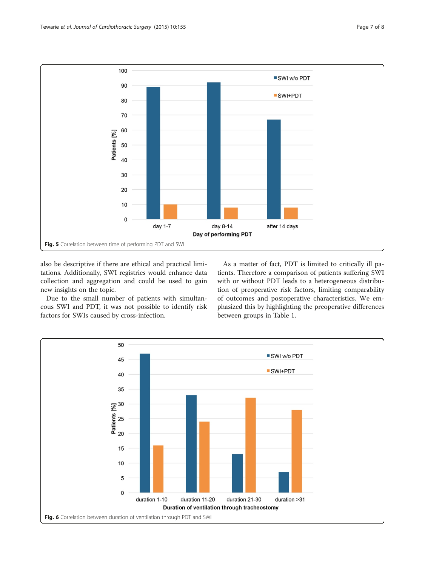<span id="page-6-0"></span>

also be descriptive if there are ethical and practical limitations. Additionally, SWI registries would enhance data collection and aggregation and could be used to gain new insights on the topic.

Due to the small number of patients with simultaneous SWI and PDT, it was not possible to identify risk factors for SWIs caused by cross-infection.

As a matter of fact, PDT is limited to critically ill patients. Therefore a comparison of patients suffering SWI with or without PDT leads to a heterogeneous distribution of preoperative risk factors, limiting comparability of outcomes and postoperative characteristics. We emphasized this by highlighting the preoperative differences between groups in Table [1](#page-3-0).